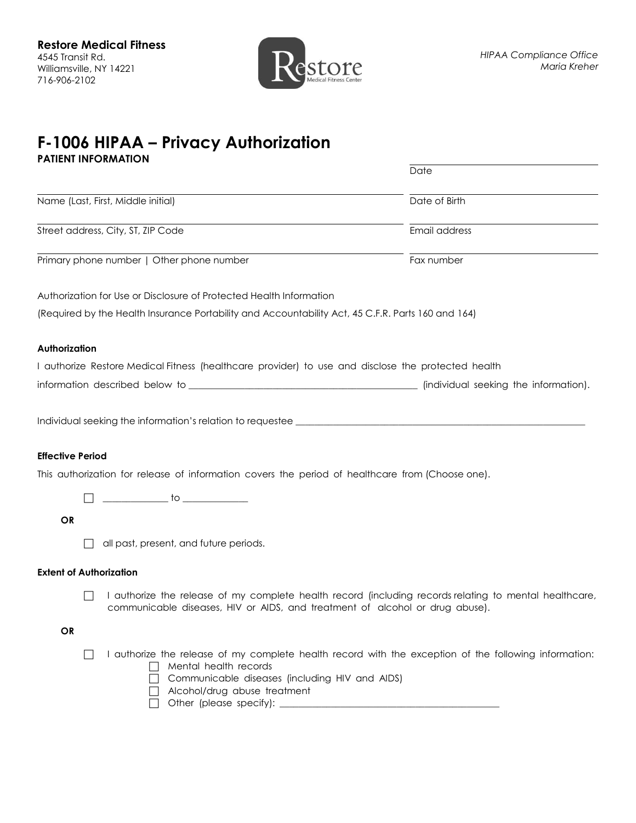

## **F-1006 HIPAA – Privacy Authorization PATIENT INFORMATION**

|                                                                                                                                                                                                                                                                                                                                                                                                                                 | Date          |
|---------------------------------------------------------------------------------------------------------------------------------------------------------------------------------------------------------------------------------------------------------------------------------------------------------------------------------------------------------------------------------------------------------------------------------|---------------|
| Name (Last, First, Middle initial)                                                                                                                                                                                                                                                                                                                                                                                              | Date of Birth |
| Street address, City, ST, ZIP Code                                                                                                                                                                                                                                                                                                                                                                                              | Email address |
| Primary phone number   Other phone number                                                                                                                                                                                                                                                                                                                                                                                       | Fax number    |
| Authorization for Use or Disclosure of Protected Health Information                                                                                                                                                                                                                                                                                                                                                             |               |
| (Required by the Health Insurance Portability and Accountability Act, 45 C.F.R. Parts 160 and 164)                                                                                                                                                                                                                                                                                                                              |               |
| Authorization                                                                                                                                                                                                                                                                                                                                                                                                                   |               |
| I authorize Restore Medical Fitness (healthcare provider) to use and disclose the protected health                                                                                                                                                                                                                                                                                                                              |               |
|                                                                                                                                                                                                                                                                                                                                                                                                                                 |               |
| Individual seeking the information's relation to requestee <b>contained and contained a set of the information</b> is<br><b>Effective Period</b>                                                                                                                                                                                                                                                                                |               |
| This authorization for release of information covers the period of healthcare from (Choose one).                                                                                                                                                                                                                                                                                                                                |               |
|                                                                                                                                                                                                                                                                                                                                                                                                                                 |               |
| $\frac{1}{\sqrt{1-\frac{1}{2}}}\frac{1}{\sqrt{1-\frac{1}{2}}}\frac{1}{\sqrt{1-\frac{1}{2}}}\frac{1}{\sqrt{1-\frac{1}{2}}}\frac{1}{\sqrt{1-\frac{1}{2}}}\frac{1}{\sqrt{1-\frac{1}{2}}}\frac{1}{\sqrt{1-\frac{1}{2}}}\frac{1}{\sqrt{1-\frac{1}{2}}}\frac{1}{\sqrt{1-\frac{1}{2}}}\frac{1}{\sqrt{1-\frac{1}{2}}}\frac{1}{\sqrt{1-\frac{1}{2}}}\frac{1}{\sqrt{1-\frac{1}{2}}}\frac{1}{\sqrt{1-\frac{1}{2}}}\frac{1}{\sqrt{1-\frac{$ |               |
| OR                                                                                                                                                                                                                                                                                                                                                                                                                              |               |
| all past, present, and future periods.                                                                                                                                                                                                                                                                                                                                                                                          |               |
| <b>Extent of Authorization</b>                                                                                                                                                                                                                                                                                                                                                                                                  |               |
| I authorize the release of my complete health record (including records relating to mental healthcare,<br>$\perp$<br>communicable diseases, HIV or AIDS, and treatment of alcohol or drug abuse).                                                                                                                                                                                                                               |               |
| <b>OR</b>                                                                                                                                                                                                                                                                                                                                                                                                                       |               |
| I authorize the release of my complete health record with the exception of the following information:<br>Mental health records<br>Communicable diseases (including HIV and AIDS)<br>Alcohol/drug abuse treatment                                                                                                                                                                                                                |               |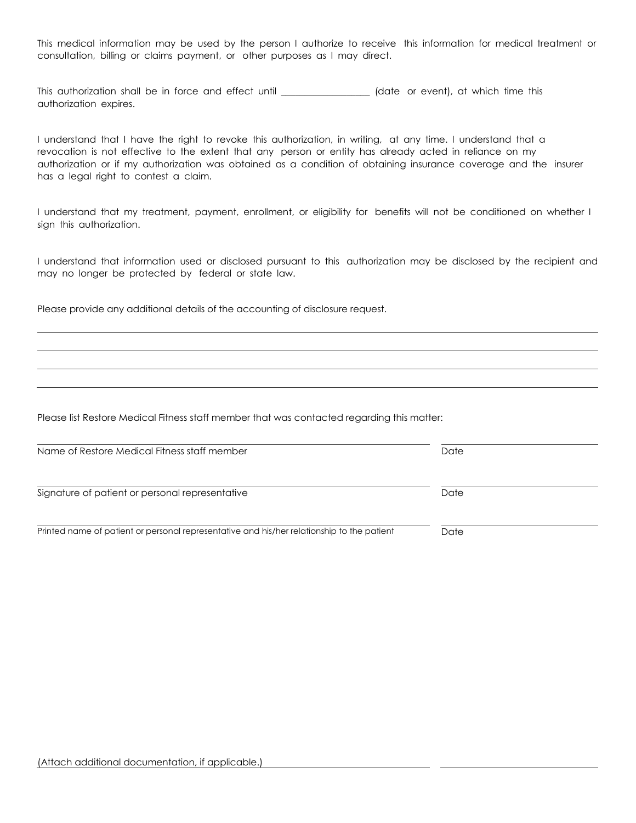This medical information may be used by the person I authorize to receive this information for medical treatment or consultation, billing or claims payment, or other purposes as I may direct.

This authorization shall be in force and effect until \_\_\_\_\_\_\_\_\_\_\_\_\_\_\_\_\_\_\_\_ (date or event), at which time this authorization expires.

I understand that I have the right to revoke this authorization, in writing, at any time. I understand that a revocation is not effective to the extent that any person or entity has already acted in reliance on my authorization or if my authorization was obtained as a condition of obtaining insurance coverage and the insurer has a legal right to contest a claim.

I understand that my treatment, payment, enrollment, or eligibility for benefits will not be conditioned on whether I sign this authorization.

I understand that information used or disclosed pursuant to this authorization may be disclosed by the recipient and may no longer be protected by federal or state law.

Please provide any additional details of the accounting of disclosure request.

Please list Restore Medical Fitness staff member that was contacted regarding this matter:

| Name of Restore Medical Fitness staff member                                               | Date |  |
|--------------------------------------------------------------------------------------------|------|--|
| Signature of patient or personal representative                                            | Date |  |
| Printed name of patient or personal representative and his/her relationship to the patient | Date |  |